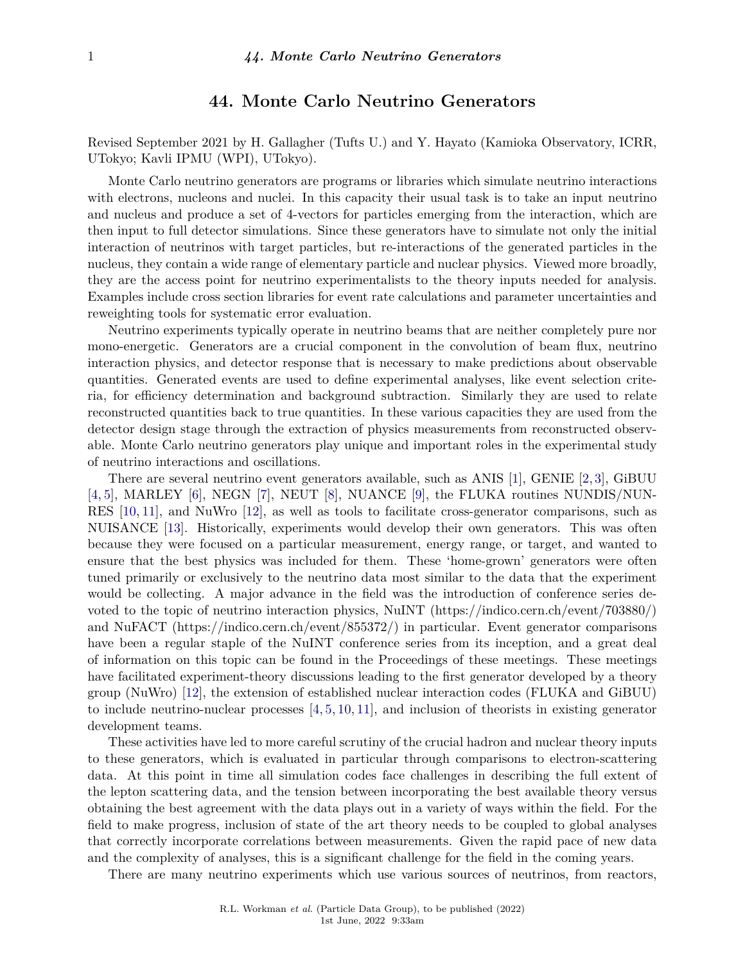# **44. Monte Carlo Neutrino Generators**

Revised September 2021 by H. Gallagher (Tufts U.) and Y. Hayato (Kamioka Observatory, ICRR, UTokyo; Kavli IPMU (WPI), UTokyo).

Monte Carlo neutrino generators are programs or libraries which simulate neutrino interactions with electrons, nucleons and nuclei. In this capacity their usual task is to take an input neutrino and nucleus and produce a set of 4-vectors for particles emerging from the interaction, which are then input to full detector simulations. Since these generators have to simulate not only the initial interaction of neutrinos with target particles, but re-interactions of the generated particles in the nucleus, they contain a wide range of elementary particle and nuclear physics. Viewed more broadly, they are the access point for neutrino experimentalists to the theory inputs needed for analysis. Examples include cross section libraries for event rate calculations and parameter uncertainties and reweighting tools for systematic error evaluation.

Neutrino experiments typically operate in neutrino beams that are neither completely pure nor mono-energetic. Generators are a crucial component in the convolution of beam flux, neutrino interaction physics, and detector response that is necessary to make predictions about observable quantities. Generated events are used to define experimental analyses, like event selection criteria, for efficiency determination and background subtraction. Similarly they are used to relate reconstructed quantities back to true quantities. In these various capacities they are used from the detector design stage through the extraction of physics measurements from reconstructed observable. Monte Carlo neutrino generators play unique and important roles in the experimental study of neutrino interactions and oscillations.

There are several neutrino event generators available, such as ANIS [\[1\]](#page-6-0), GENIE [\[2,](#page-6-1) [3\]](#page-6-2), GiBUU [\[4,](#page-6-3) [5\]](#page-6-4), MARLEY [\[6\]](#page-6-5), NEGN [\[7\]](#page-6-6), NEUT [\[8\]](#page-6-7), NUANCE [\[9\]](#page-6-8), the FLUKA routines NUNDIS/NUN-RES [\[10,](#page-6-9) [11\]](#page-6-10), and NuWro [\[12\]](#page-6-11), as well as tools to facilitate cross-generator comparisons, such as NUISANCE [\[13\]](#page-6-12). Historically, experiments would develop their own generators. This was often because they were focused on a particular measurement, energy range, or target, and wanted to ensure that the best physics was included for them. These 'home-grown' generators were often tuned primarily or exclusively to the neutrino data most similar to the data that the experiment would be collecting. A major advance in the field was the introduction of conference series devoted to the topic of neutrino interaction physics, NuINT (https://indico.cern.ch/event/703880/) and NuFACT (https://indico.cern.ch/event/855372/) in particular. Event generator comparisons have been a regular staple of the NuINT conference series from its inception, and a great deal of information on this topic can be found in the Proceedings of these meetings. These meetings have facilitated experiment-theory discussions leading to the first generator developed by a theory group (NuWro) [\[12\]](#page-6-11), the extension of established nuclear interaction codes (FLUKA and GiBUU) to include neutrino-nuclear processes  $[4, 5, 10, 11]$  $[4, 5, 10, 11]$  $[4, 5, 10, 11]$  $[4, 5, 10, 11]$  $[4, 5, 10, 11]$  $[4, 5, 10, 11]$  $[4, 5, 10, 11]$ , and inclusion of theorists in existing generator development teams.

These activities have led to more careful scrutiny of the crucial hadron and nuclear theory inputs to these generators, which is evaluated in particular through comparisons to electron-scattering data. At this point in time all simulation codes face challenges in describing the full extent of the lepton scattering data, and the tension between incorporating the best available theory versus obtaining the best agreement with the data plays out in a variety of ways within the field. For the field to make progress, inclusion of state of the art theory needs to be coupled to global analyses that correctly incorporate correlations between measurements. Given the rapid pace of new data and the complexity of analyses, this is a significant challenge for the field in the coming years.

There are many neutrino experiments which use various sources of neutrinos, from reactors,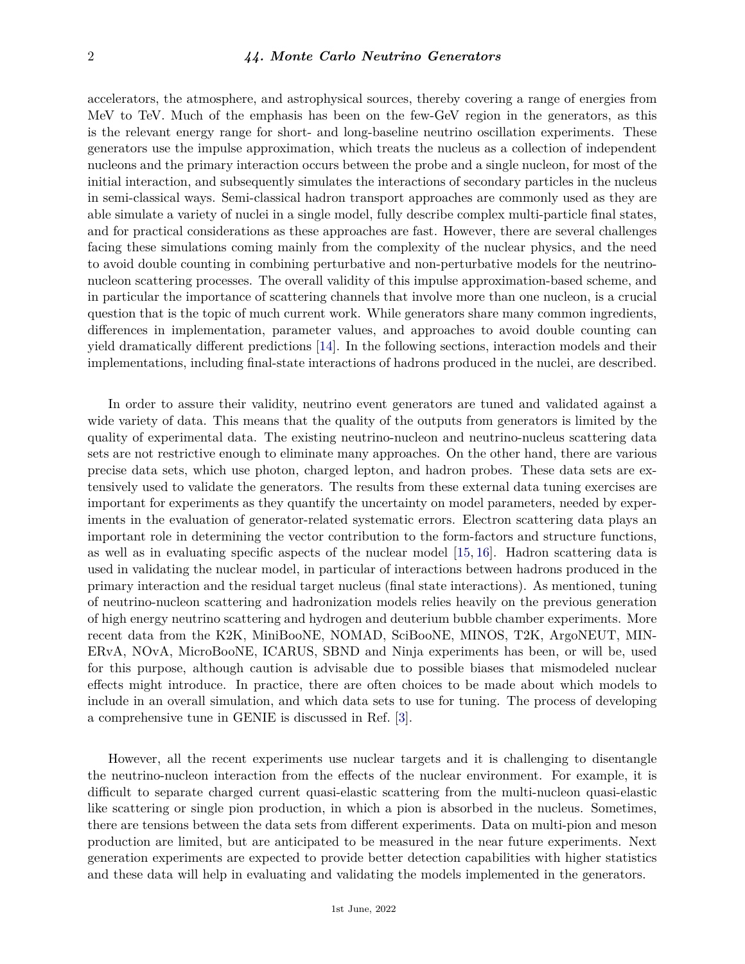accelerators, the atmosphere, and astrophysical sources, thereby covering a range of energies from MeV to TeV. Much of the emphasis has been on the few-GeV region in the generators, as this is the relevant energy range for short- and long-baseline neutrino oscillation experiments. These generators use the impulse approximation, which treats the nucleus as a collection of independent nucleons and the primary interaction occurs between the probe and a single nucleon, for most of the initial interaction, and subsequently simulates the interactions of secondary particles in the nucleus in semi-classical ways. Semi-classical hadron transport approaches are commonly used as they are able simulate a variety of nuclei in a single model, fully describe complex multi-particle final states, and for practical considerations as these approaches are fast. However, there are several challenges facing these simulations coming mainly from the complexity of the nuclear physics, and the need to avoid double counting in combining perturbative and non-perturbative models for the neutrinonucleon scattering processes. The overall validity of this impulse approximation-based scheme, and in particular the importance of scattering channels that involve more than one nucleon, is a crucial question that is the topic of much current work. While generators share many common ingredients, differences in implementation, parameter values, and approaches to avoid double counting can yield dramatically different predictions [\[14\]](#page-6-13). In the following sections, interaction models and their implementations, including final-state interactions of hadrons produced in the nuclei, are described.

In order to assure their validity, neutrino event generators are tuned and validated against a wide variety of data. This means that the quality of the outputs from generators is limited by the quality of experimental data. The existing neutrino-nucleon and neutrino-nucleus scattering data sets are not restrictive enough to eliminate many approaches. On the other hand, there are various precise data sets, which use photon, charged lepton, and hadron probes. These data sets are extensively used to validate the generators. The results from these external data tuning exercises are important for experiments as they quantify the uncertainty on model parameters, needed by experiments in the evaluation of generator-related systematic errors. Electron scattering data plays an important role in determining the vector contribution to the form-factors and structure functions, as well as in evaluating specific aspects of the nuclear model [\[15,](#page-6-14) [16\]](#page-6-15). Hadron scattering data is used in validating the nuclear model, in particular of interactions between hadrons produced in the primary interaction and the residual target nucleus (final state interactions). As mentioned, tuning of neutrino-nucleon scattering and hadronization models relies heavily on the previous generation of high energy neutrino scattering and hydrogen and deuterium bubble chamber experiments. More recent data from the K2K, MiniBooNE, NOMAD, SciBooNE, MINOS, T2K, ArgoNEUT, MIN-ERvA, NOvA, MicroBooNE, ICARUS, SBND and Ninja experiments has been, or will be, used for this purpose, although caution is advisable due to possible biases that mismodeled nuclear effects might introduce. In practice, there are often choices to be made about which models to include in an overall simulation, and which data sets to use for tuning. The process of developing a comprehensive tune in GENIE is discussed in Ref. [\[3\]](#page-6-2).

However, all the recent experiments use nuclear targets and it is challenging to disentangle the neutrino-nucleon interaction from the effects of the nuclear environment. For example, it is difficult to separate charged current quasi-elastic scattering from the multi-nucleon quasi-elastic like scattering or single pion production, in which a pion is absorbed in the nucleus. Sometimes, there are tensions between the data sets from different experiments. Data on multi-pion and meson production are limited, but are anticipated to be measured in the near future experiments. Next generation experiments are expected to provide better detection capabilities with higher statistics and these data will help in evaluating and validating the models implemented in the generators.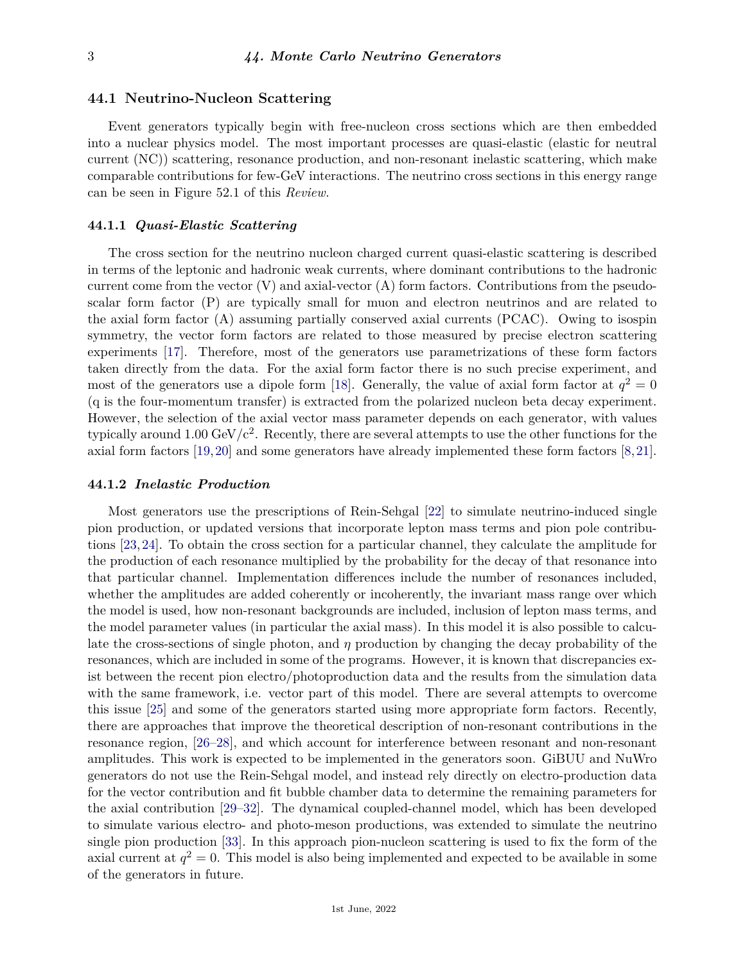## **44.1 Neutrino-Nucleon Scattering**

Event generators typically begin with free-nucleon cross sections which are then embedded into a nuclear physics model. The most important processes are quasi-elastic (elastic for neutral current (NC)) scattering, resonance production, and non-resonant inelastic scattering, which make comparable contributions for few-GeV interactions. The neutrino cross sections in this energy range can be seen in Figure 52.1 of this *Review.*

#### **44.1.1** *Quasi-Elastic Scattering*

The cross section for the neutrino nucleon charged current quasi-elastic scattering is described in terms of the leptonic and hadronic weak currents, where dominant contributions to the hadronic current come from the vector  $(V)$  and axial-vector  $(A)$  form factors. Contributions from the pseudoscalar form factor (P) are typically small for muon and electron neutrinos and are related to the axial form factor (A) assuming partially conserved axial currents (PCAC). Owing to isospin symmetry, the vector form factors are related to those measured by precise electron scattering experiments [\[17\]](#page-6-16). Therefore, most of the generators use parametrizations of these form factors taken directly from the data. For the axial form factor there is no such precise experiment, and most of the generators use a dipole form [\[18\]](#page-6-17). Generally, the value of axial form factor at  $q^2 = 0$ (q is the four-momentum transfer) is extracted from the polarized nucleon beta decay experiment. However, the selection of the axial vector mass parameter depends on each generator, with values typically around 1.00 GeV/ $c^2$ . Recently, there are several attempts to use the other functions for the axial form factors [\[19,](#page-6-18)[20\]](#page-6-19) and some generators have already implemented these form factors [\[8,](#page-6-7)[21\]](#page-6-20).

#### **44.1.2** *Inelastic Production*

Most generators use the prescriptions of Rein-Sehgal [\[22\]](#page-6-21) to simulate neutrino-induced single pion production, or updated versions that incorporate lepton mass terms and pion pole contributions [\[23,](#page-6-22)[24\]](#page-6-23). To obtain the cross section for a particular channel, they calculate the amplitude for the production of each resonance multiplied by the probability for the decay of that resonance into that particular channel. Implementation differences include the number of resonances included, whether the amplitudes are added coherently or incoherently, the invariant mass range over which the model is used, how non-resonant backgrounds are included, inclusion of lepton mass terms, and the model parameter values (in particular the axial mass). In this model it is also possible to calculate the cross-sections of single photon, and *η* production by changing the decay probability of the resonances, which are included in some of the programs. However, it is known that discrepancies exist between the recent pion electro/photoproduction data and the results from the simulation data with the same framework, i.e. vector part of this model. There are several attempts to overcome this issue [\[25\]](#page-6-24) and some of the generators started using more appropriate form factors. Recently, there are approaches that improve the theoretical description of non-resonant contributions in the resonance region, [\[26](#page-6-25)[–28\]](#page-6-26), and which account for interference between resonant and non-resonant amplitudes. This work is expected to be implemented in the generators soon. GiBUU and NuWro generators do not use the Rein-Sehgal model, and instead rely directly on electro-production data for the vector contribution and fit bubble chamber data to determine the remaining parameters for the axial contribution [\[29–](#page-6-27)[32\]](#page-7-0). The dynamical coupled-channel model, which has been developed to simulate various electro- and photo-meson productions, was extended to simulate the neutrino single pion production [\[33\]](#page-7-1). In this approach pion-nucleon scattering is used to fix the form of the axial current at  $q^2 = 0$ . This model is also being implemented and expected to be available in some of the generators in future.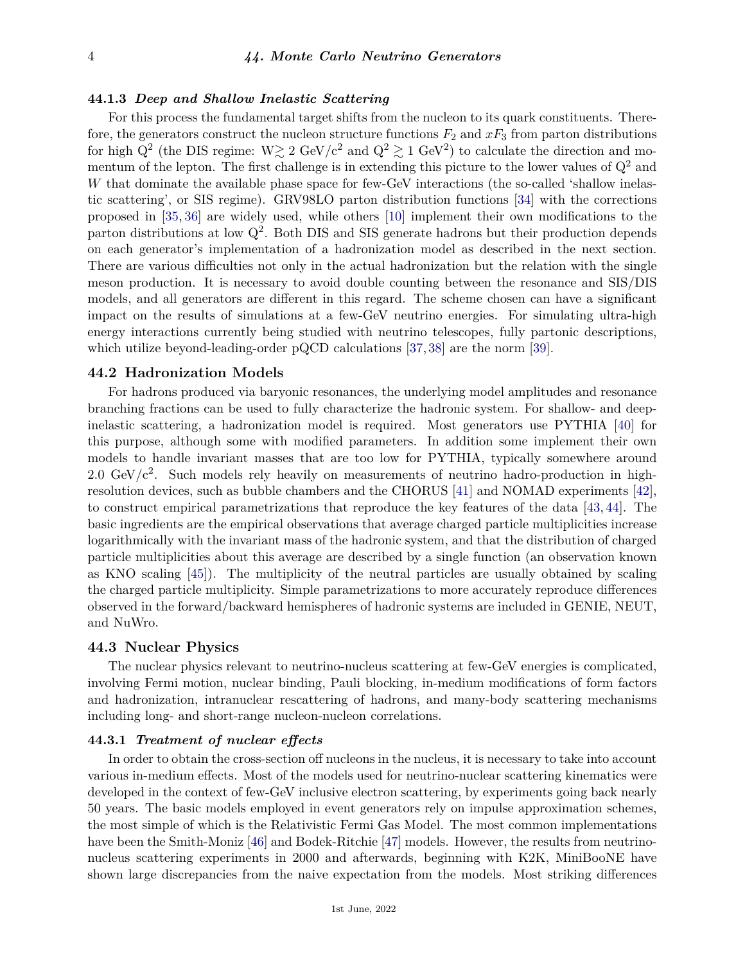## **44.1.3** *Deep and Shallow Inelastic Scattering*

For this process the fundamental target shifts from the nucleon to its quark constituents. Therefore, the generators construct the nucleon structure functions  $F_2$  and  $xF_3$  from parton distributions for high  $Q^2$  (the DIS regime:  $W \gtrsim 2 \text{ GeV}/c^2$  and  $Q^2 \gtrsim 1 \text{ GeV}^2$ ) to calculate the direction and momentum of the lepton. The first challenge is in extending this picture to the lower values of  $Q^2$  and *W* that dominate the available phase space for few-GeV interactions (the so-called 'shallow inelastic scattering', or SIS regime). GRV98LO parton distribution functions [\[34\]](#page-7-2) with the corrections proposed in [\[35,](#page-7-3) [36\]](#page-7-4) are widely used, while others [\[10\]](#page-6-9) implement their own modifications to the parton distributions at low  $Q^2$ . Both DIS and SIS generate hadrons but their production depends on each generator's implementation of a hadronization model as described in the next section. There are various difficulties not only in the actual hadronization but the relation with the single meson production. It is necessary to avoid double counting between the resonance and SIS/DIS models, and all generators are different in this regard. The scheme chosen can have a significant impact on the results of simulations at a few-GeV neutrino energies. For simulating ultra-high energy interactions currently being studied with neutrino telescopes, fully partonic descriptions, which utilize beyond-leading-order pQCD calculations [\[37,](#page-7-5) [38\]](#page-7-6) are the norm [\[39\]](#page-7-7).

## **44.2 Hadronization Models**

For hadrons produced via baryonic resonances, the underlying model amplitudes and resonance branching fractions can be used to fully characterize the hadronic system. For shallow- and deepinelastic scattering, a hadronization model is required. Most generators use PYTHIA [\[40\]](#page-7-8) for this purpose, although some with modified parameters. In addition some implement their own models to handle invariant masses that are too low for PYTHIA, typically somewhere around 2.0 GeV/ $c^2$ . Such models rely heavily on measurements of neutrino hadro-production in highresolution devices, such as bubble chambers and the CHORUS [\[41\]](#page-7-9) and NOMAD experiments [\[42\]](#page-7-10), to construct empirical parametrizations that reproduce the key features of the data [\[43,](#page-7-11) [44\]](#page-7-12). The basic ingredients are the empirical observations that average charged particle multiplicities increase logarithmically with the invariant mass of the hadronic system, and that the distribution of charged particle multiplicities about this average are described by a single function (an observation known as KNO scaling [\[45\]](#page-7-13)). The multiplicity of the neutral particles are usually obtained by scaling the charged particle multiplicity. Simple parametrizations to more accurately reproduce differences observed in the forward/backward hemispheres of hadronic systems are included in GENIE, NEUT, and NuWro.

## **44.3 Nuclear Physics**

The nuclear physics relevant to neutrino-nucleus scattering at few-GeV energies is complicated, involving Fermi motion, nuclear binding, Pauli blocking, in-medium modifications of form factors and hadronization, intranuclear rescattering of hadrons, and many-body scattering mechanisms including long- and short-range nucleon-nucleon correlations.

# **44.3.1** *Treatment of nuclear effects*

In order to obtain the cross-section off nucleons in the nucleus, it is necessary to take into account various in-medium effects. Most of the models used for neutrino-nuclear scattering kinematics were developed in the context of few-GeV inclusive electron scattering, by experiments going back nearly 50 years. The basic models employed in event generators rely on impulse approximation schemes, the most simple of which is the Relativistic Fermi Gas Model. The most common implementations have been the Smith-Moniz [\[46\]](#page-7-14) and Bodek-Ritchie [\[47\]](#page-7-15) models. However, the results from neutrinonucleus scattering experiments in 2000 and afterwards, beginning with K2K, MiniBooNE have shown large discrepancies from the naive expectation from the models. Most striking differences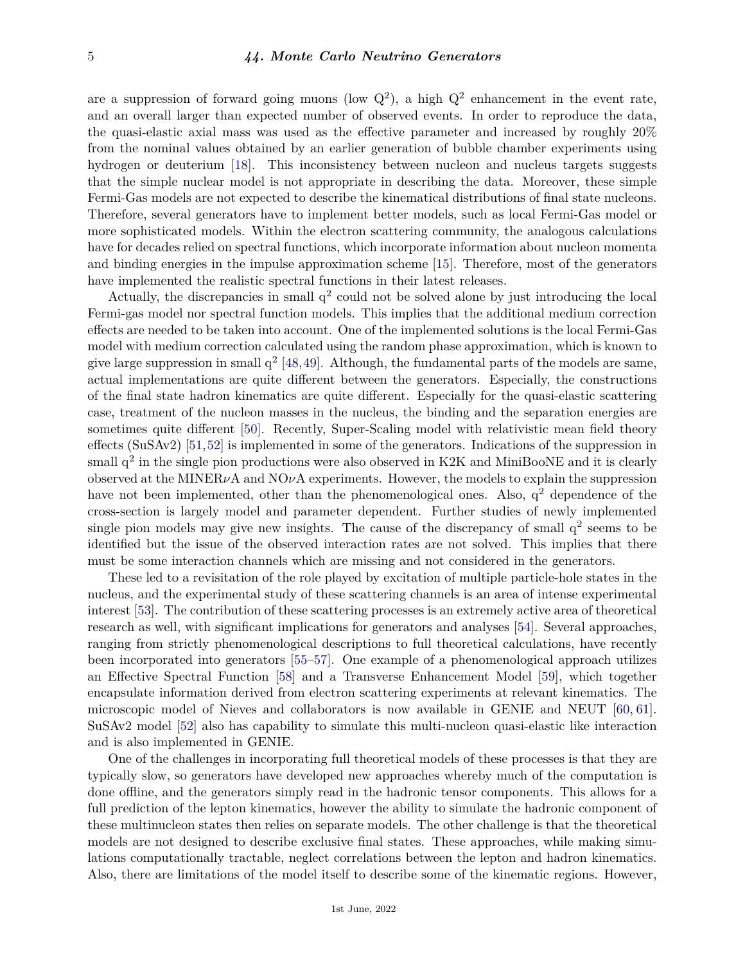are a suppression of forward going muons (low  $Q^2$ ), a high  $Q^2$  enhancement in the event rate, and an overall larger than expected number of observed events. In order to reproduce the data, the quasi-elastic axial mass was used as the effective parameter and increased by roughly 20% from the nominal values obtained by an earlier generation of bubble chamber experiments using hydrogen or deuterium [\[18\]](#page-6-17). This inconsistency between nucleon and nucleus targets suggests that the simple nuclear model is not appropriate in describing the data. Moreover, these simple Fermi-Gas models are not expected to describe the kinematical distributions of final state nucleons. Therefore, several generators have to implement better models, such as local Fermi-Gas model or more sophisticated models. Within the electron scattering community, the analogous calculations have for decades relied on spectral functions, which incorporate information about nucleon momenta and binding energies in the impulse approximation scheme [\[15\]](#page-6-14). Therefore, most of the generators have implemented the realistic spectral functions in their latest releases.

Actually, the discrepancies in small  $q<sup>2</sup>$  could not be solved alone by just introducing the local Fermi-gas model nor spectral function models. This implies that the additional medium correction effects are needed to be taken into account. One of the implemented solutions is the local Fermi-Gas model with medium correction calculated using the random phase approximation, which is known to give large suppression in small  $q^2$  [\[48,](#page-7-16)[49\]](#page-7-17). Although, the fundamental parts of the models are same, actual implementations are quite different between the generators. Especially, the constructions of the final state hadron kinematics are quite different. Especially for the quasi-elastic scattering case, treatment of the nucleon masses in the nucleus, the binding and the separation energies are sometimes quite different [\[50\]](#page-7-18). Recently, Super-Scaling model with relativistic mean field theory effects (SuSAv2) [\[51,](#page-7-19)[52\]](#page-7-20) is implemented in some of the generators. Indications of the suppression in small  $q^2$  in the single pion productions were also observed in K2K and MiniBooNE and it is clearly observed at the MINER*ν*A and NO*ν*A experiments. However, the models to explain the suppression have not been implemented, other than the phenomenological ones. Also,  $q^2$  dependence of the cross-section is largely model and parameter dependent. Further studies of newly implemented single pion models may give new insights. The cause of the discrepancy of small  $q^2$  seems to be identified but the issue of the observed interaction rates are not solved. This implies that there must be some interaction channels which are missing and not considered in the generators.

These led to a revisitation of the role played by excitation of multiple particle-hole states in the nucleus, and the experimental study of these scattering channels is an area of intense experimental interest [\[53\]](#page-7-21). The contribution of these scattering processes is an extremely active area of theoretical research as well, with significant implications for generators and analyses [\[54\]](#page-7-22). Several approaches, ranging from strictly phenomenological descriptions to full theoretical calculations, have recently been incorporated into generators [\[55–](#page-7-23)[57\]](#page-7-24). One example of a phenomenological approach utilizes an Effective Spectral Function [\[58\]](#page-7-25) and a Transverse Enhancement Model [\[59\]](#page-7-26), which together encapsulate information derived from electron scattering experiments at relevant kinematics. The microscopic model of Nieves and collaborators is now available in GENIE and NEUT [\[60,](#page-7-27) [61\]](#page-7-28). SuSAv2 model [\[52\]](#page-7-20) also has capability to simulate this multi-nucleon quasi-elastic like interaction and is also implemented in GENIE.

One of the challenges in incorporating full theoretical models of these processes is that they are typically slow, so generators have developed new approaches whereby much of the computation is done offline, and the generators simply read in the hadronic tensor components. This allows for a full prediction of the lepton kinematics, however the ability to simulate the hadronic component of these multinucleon states then relies on separate models. The other challenge is that the theoretical models are not designed to describe exclusive final states. These approaches, while making simulations computationally tractable, neglect correlations between the lepton and hadron kinematics. Also, there are limitations of the model itself to describe some of the kinematic regions. However,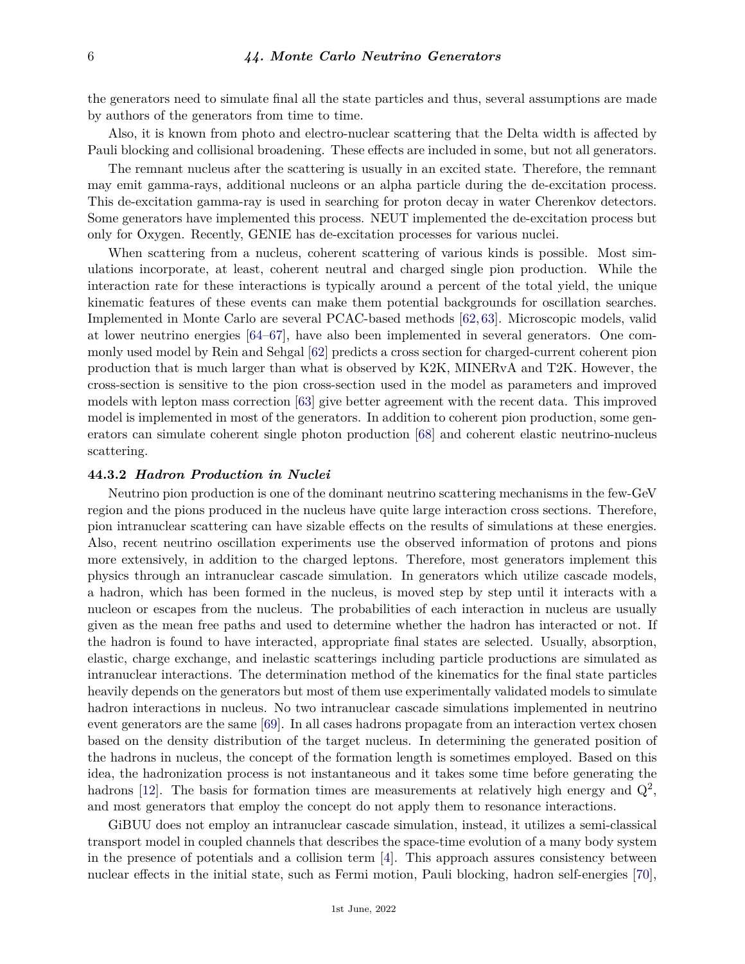the generators need to simulate final all the state particles and thus, several assumptions are made by authors of the generators from time to time.

Also, it is known from photo and electro-nuclear scattering that the Delta width is affected by Pauli blocking and collisional broadening. These effects are included in some, but not all generators.

The remnant nucleus after the scattering is usually in an excited state. Therefore, the remnant may emit gamma-rays, additional nucleons or an alpha particle during the de-excitation process. This de-excitation gamma-ray is used in searching for proton decay in water Cherenkov detectors. Some generators have implemented this process. NEUT implemented the de-excitation process but only for Oxygen. Recently, GENIE has de-excitation processes for various nuclei.

When scattering from a nucleus, coherent scattering of various kinds is possible. Most simulations incorporate, at least, coherent neutral and charged single pion production. While the interaction rate for these interactions is typically around a percent of the total yield, the unique kinematic features of these events can make them potential backgrounds for oscillation searches. Implemented in Monte Carlo are several PCAC-based methods [\[62,](#page-7-29) [63\]](#page-7-30). Microscopic models, valid at lower neutrino energies [\[64](#page-7-31)[–67\]](#page-8-0), have also been implemented in several generators. One commonly used model by Rein and Sehgal [\[62\]](#page-7-29) predicts a cross section for charged-current coherent pion production that is much larger than what is observed by K2K, MINERvA and T2K. However, the cross-section is sensitive to the pion cross-section used in the model as parameters and improved models with lepton mass correction [\[63\]](#page-7-30) give better agreement with the recent data. This improved model is implemented in most of the generators. In addition to coherent pion production, some generators can simulate coherent single photon production [\[68\]](#page-8-1) and coherent elastic neutrino-nucleus scattering.

#### **44.3.2** *Hadron Production in Nuclei*

Neutrino pion production is one of the dominant neutrino scattering mechanisms in the few-GeV region and the pions produced in the nucleus have quite large interaction cross sections. Therefore, pion intranuclear scattering can have sizable effects on the results of simulations at these energies. Also, recent neutrino oscillation experiments use the observed information of protons and pions more extensively, in addition to the charged leptons. Therefore, most generators implement this physics through an intranuclear cascade simulation. In generators which utilize cascade models, a hadron, which has been formed in the nucleus, is moved step by step until it interacts with a nucleon or escapes from the nucleus. The probabilities of each interaction in nucleus are usually given as the mean free paths and used to determine whether the hadron has interacted or not. If the hadron is found to have interacted, appropriate final states are selected. Usually, absorption, elastic, charge exchange, and inelastic scatterings including particle productions are simulated as intranuclear interactions. The determination method of the kinematics for the final state particles heavily depends on the generators but most of them use experimentally validated models to simulate hadron interactions in nucleus. No two intranuclear cascade simulations implemented in neutrino event generators are the same [\[69\]](#page-8-2). In all cases hadrons propagate from an interaction vertex chosen based on the density distribution of the target nucleus. In determining the generated position of the hadrons in nucleus, the concept of the formation length is sometimes employed. Based on this idea, the hadronization process is not instantaneous and it takes some time before generating the hadrons [\[12\]](#page-6-11). The basis for formation times are measurements at relatively high energy and  $Q^2$ , and most generators that employ the concept do not apply them to resonance interactions.

GiBUU does not employ an intranuclear cascade simulation, instead, it utilizes a semi-classical transport model in coupled channels that describes the space-time evolution of a many body system in the presence of potentials and a collision term [\[4\]](#page-6-3). This approach assures consistency between nuclear effects in the initial state, such as Fermi motion, Pauli blocking, hadron self-energies [\[70\]](#page-8-3),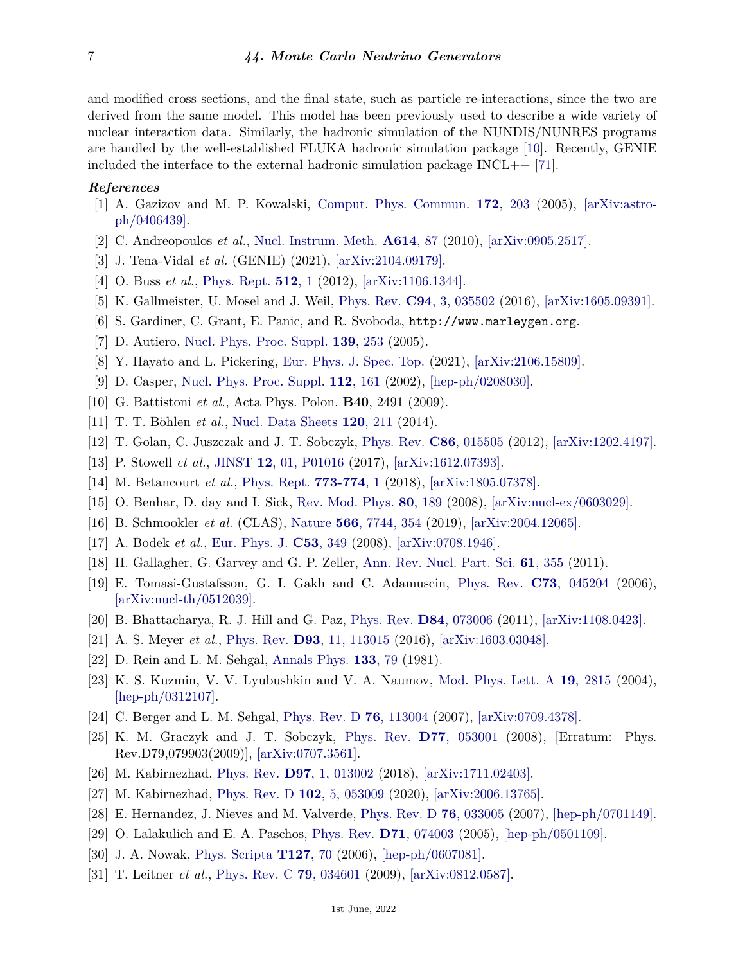and modified cross sections, and the final state, such as particle re-interactions, since the two are derived from the same model. This model has been previously used to describe a wide variety of nuclear interaction data. Similarly, the hadronic simulation of the NUNDIS/NUNRES programs are handled by the well-established FLUKA hadronic simulation package [\[10\]](#page-6-9). Recently, GENIE included the interface to the external hadronic simulation package INCL++ [\[71\]](#page-8-4).

## <span id="page-6-0"></span>*References*

- [1] A. Gazizov and M. P. Kowalski, [Comput. Phys. Commun.](http://doi.org/10.1016/j.cpc.2005.03.113) **172**[, 203](http://doi.org/10.1016/j.cpc.2005.03.113) (2005), [\[arXiv:astro](https://arxiv.org/abs/astro-ph/0406439)[ph/0406439\].](https://arxiv.org/abs/astro-ph/0406439)
- <span id="page-6-1"></span>[2] C. Andreopoulos *et al.*, [Nucl. Instrum. Meth.](http://doi.org/10.1016/j.nima.2009.12.009) **[A614](http://doi.org/10.1016/j.nima.2009.12.009)**, 87 (2010), [\[arXiv:0905.2517\].](https://arxiv.org/abs/0905.2517)
- <span id="page-6-2"></span>[3] J. Tena-Vidal *et al.* (GENIE) (2021), [\[arXiv:2104.09179\].](https://arxiv.org/abs/2104.09179)
- <span id="page-6-3"></span>[4] O. Buss *et al.*, [Phys. Rept.](http://doi.org/10.1016/j.physrep.2011.12.001) **[512](http://doi.org/10.1016/j.physrep.2011.12.001)**, 1 (2012), [\[arXiv:1106.1344\].](https://arxiv.org/abs/1106.1344)
- <span id="page-6-4"></span>[5] K. Gallmeister, U. Mosel and J. Weil, [Phys. Rev.](http://doi.org/10.1103/PhysRevC.94.035502) **C94**[, 3, 035502](http://doi.org/10.1103/PhysRevC.94.035502) (2016), [\[arXiv:1605.09391\].](https://arxiv.org/abs/1605.09391)
- <span id="page-6-5"></span>[6] S. Gardiner, C. Grant, E. Panic, and R. Svoboda, http://www.marleygen.org.
- <span id="page-6-6"></span>[7] D. Autiero, [Nucl. Phys. Proc. Suppl.](http://doi.org/10.1016/j.nuclphysbps.2004.11.168) **139**[, 253](http://doi.org/10.1016/j.nuclphysbps.2004.11.168) (2005).
- <span id="page-6-7"></span>[8] Y. Hayato and L. Pickering, [Eur. Phys. J. Spec. Top.](http://doi.org/10.1140/epjs/s11734-021-00287-7) (2021), [\[arXiv:2106.15809\].](https://arxiv.org/abs/2106.15809)
- <span id="page-6-8"></span>[9] D. Casper, [Nucl. Phys. Proc. Suppl.](http://doi.org/10.1016/S0920-5632(02)01756-5) **112**[, 161](http://doi.org/10.1016/S0920-5632(02)01756-5) (2002), [\[hep-ph/0208030\].](https://arxiv.org/abs/hep-ph/0208030)
- <span id="page-6-9"></span>[10] G. Battistoni *et al.*, Acta Phys. Polon. **B40**, 2491 (2009).
- <span id="page-6-10"></span>[11] T. T. Böhlen *et al.*, [Nucl. Data Sheets](http://doi.org/10.1016/j.nds.2014.07.049) **120**[, 211](http://doi.org/10.1016/j.nds.2014.07.049) (2014).
- <span id="page-6-11"></span>[12] T. Golan, C. Juszczak and J. T. Sobczyk, [Phys. Rev.](http://doi.org/10.1103/PhysRevC.86.015505) **C86**[, 015505](http://doi.org/10.1103/PhysRevC.86.015505) (2012), [\[arXiv:1202.4197\].](https://arxiv.org/abs/1202.4197)
- <span id="page-6-12"></span>[13] P. Stowell *et al.*, [JINST](http://doi.org/10.1088/1748-0221/12/01/P01016) **12**[, 01, P01016](http://doi.org/10.1088/1748-0221/12/01/P01016) (2017), [\[arXiv:1612.07393\].](https://arxiv.org/abs/1612.07393)
- <span id="page-6-13"></span>[14] M. Betancourt *et al.*, [Phys. Rept.](http://doi.org/10.1016/j.physrep.2018.08.003) **[773-774](http://doi.org/10.1016/j.physrep.2018.08.003)**, 1 (2018), [\[arXiv:1805.07378\].](https://arxiv.org/abs/1805.07378)
- <span id="page-6-14"></span>[15] O. Benhar, D. day and I. Sick, [Rev. Mod. Phys.](http://doi.org/10.1103/RevModPhys.80.189) **80**[, 189](http://doi.org/10.1103/RevModPhys.80.189) (2008), [\[arXiv:nucl-ex/0603029\].](https://arxiv.org/abs/nucl-ex/0603029)
- <span id="page-6-15"></span>[16] B. Schmookler *et al.* (CLAS), [Nature](http://doi.org/10.1038/s41586-019-0925-9) **566**[, 7744, 354](http://doi.org/10.1038/s41586-019-0925-9) (2019), [\[arXiv:2004.12065\].](https://arxiv.org/abs/2004.12065)
- <span id="page-6-16"></span>[17] A. Bodek *et al.*, [Eur. Phys. J.](http://doi.org/10.1140/epjc/s10052-007-0491-4) **C53**[, 349](http://doi.org/10.1140/epjc/s10052-007-0491-4) (2008), [\[arXiv:0708.1946\].](https://arxiv.org/abs/0708.1946)
- <span id="page-6-17"></span>[18] H. Gallagher, G. Garvey and G. P. Zeller, [Ann. Rev. Nucl. Part. Sci.](http://doi.org/10.1146/annurev-nucl-102010-130255) **61**[, 355](http://doi.org/10.1146/annurev-nucl-102010-130255) (2011).
- <span id="page-6-18"></span>[19] E. Tomasi-Gustafsson, G. I. Gakh and C. Adamuscin, [Phys. Rev.](http://doi.org/10.1103/PhysRevC.73.045204) **C73**[, 045204](http://doi.org/10.1103/PhysRevC.73.045204) (2006), [\[arXiv:nucl-th/0512039\].](https://arxiv.org/abs/nucl-th/0512039)
- <span id="page-6-19"></span>[20] B. Bhattacharya, R. J. Hill and G. Paz, [Phys. Rev.](http://doi.org/10.1103/PhysRevD.84.073006) **D84**[, 073006](http://doi.org/10.1103/PhysRevD.84.073006) (2011), [\[arXiv:1108.0423\].](https://arxiv.org/abs/1108.0423)
- <span id="page-6-20"></span>[21] A. S. Meyer *et al.*, [Phys. Rev.](http://doi.org/10.1103/PhysRevD.93.113015) **D93**[, 11, 113015](http://doi.org/10.1103/PhysRevD.93.113015) (2016), [\[arXiv:1603.03048\].](https://arxiv.org/abs/1603.03048)
- <span id="page-6-21"></span>[22] D. Rein and L. M. Sehgal, [Annals Phys.](http://doi.org/10.1016/0003-4916(81)90242-6) **[133](http://doi.org/10.1016/0003-4916(81)90242-6)**, 79 (1981).
- <span id="page-6-22"></span>[23] K. S. Kuzmin, V. V. Lyubushkin and V. A. Naumov, [Mod. Phys. Lett. A](http://doi.org/10.1142/S0217732304016172) **19**[, 2815](http://doi.org/10.1142/S0217732304016172) (2004), [\[hep-ph/0312107\].](https://arxiv.org/abs/hep-ph/0312107)
- <span id="page-6-23"></span>[24] C. Berger and L. M. Sehgal, [Phys. Rev. D](http://doi.org/10.1103/PhysRevD.76.113004) **76**[, 113004](http://doi.org/10.1103/PhysRevD.76.113004) (2007), [\[arXiv:0709.4378\].](https://arxiv.org/abs/0709.4378)
- <span id="page-6-24"></span>[25] K. M. Graczyk and J. T. Sobczyk, [Phys. Rev.](http://doi.org/10.1103/PhysRevD.79.079903) **D77**[, 053001](http://doi.org/10.1103/PhysRevD.79.079903) (2008), [Erratum: Phys. Rev.D79,079903(2009)], [\[arXiv:0707.3561\].](https://arxiv.org/abs/0707.3561)
- <span id="page-6-25"></span>[26] M. Kabirnezhad, [Phys. Rev.](http://doi.org/10.1103/PhysRevD.97.013002) **D97**[, 1, 013002](http://doi.org/10.1103/PhysRevD.97.013002) (2018), [\[arXiv:1711.02403\].](https://arxiv.org/abs/1711.02403)
- [27] M. Kabirnezhad, [Phys. Rev. D](http://doi.org/10.1103/PhysRevD.102.053009) **102**[, 5, 053009](http://doi.org/10.1103/PhysRevD.102.053009) (2020), [\[arXiv:2006.13765\].](https://arxiv.org/abs/2006.13765)
- <span id="page-6-26"></span>[28] E. Hernandez, J. Nieves and M. Valverde, [Phys. Rev. D](http://doi.org/10.1103/PhysRevD.76.033005) **76**[, 033005](http://doi.org/10.1103/PhysRevD.76.033005) (2007), [\[hep-ph/0701149\].](https://arxiv.org/abs/hep-ph/0701149)
- <span id="page-6-27"></span>[29] O. Lalakulich and E. A. Paschos, [Phys. Rev.](http://doi.org/10.1103/PhysRevD.71.074003) **D71**[, 074003](http://doi.org/10.1103/PhysRevD.71.074003) (2005), [\[hep-ph/0501109\].](https://arxiv.org/abs/hep-ph/0501109)
- [30] J. A. Nowak, [Phys. Scripta](http://doi.org/10.1088/0031-8949/2006/T127/025) **[T127](http://doi.org/10.1088/0031-8949/2006/T127/025)**, 70 (2006), [\[hep-ph/0607081\].](https://arxiv.org/abs/hep-ph/0607081)
- [31] T. Leitner *et al.*, [Phys. Rev. C](http://doi.org/10.1103/PhysRevC.79.034601) **79**[, 034601](http://doi.org/10.1103/PhysRevC.79.034601) (2009), [\[arXiv:0812.0587\].](https://arxiv.org/abs/0812.0587)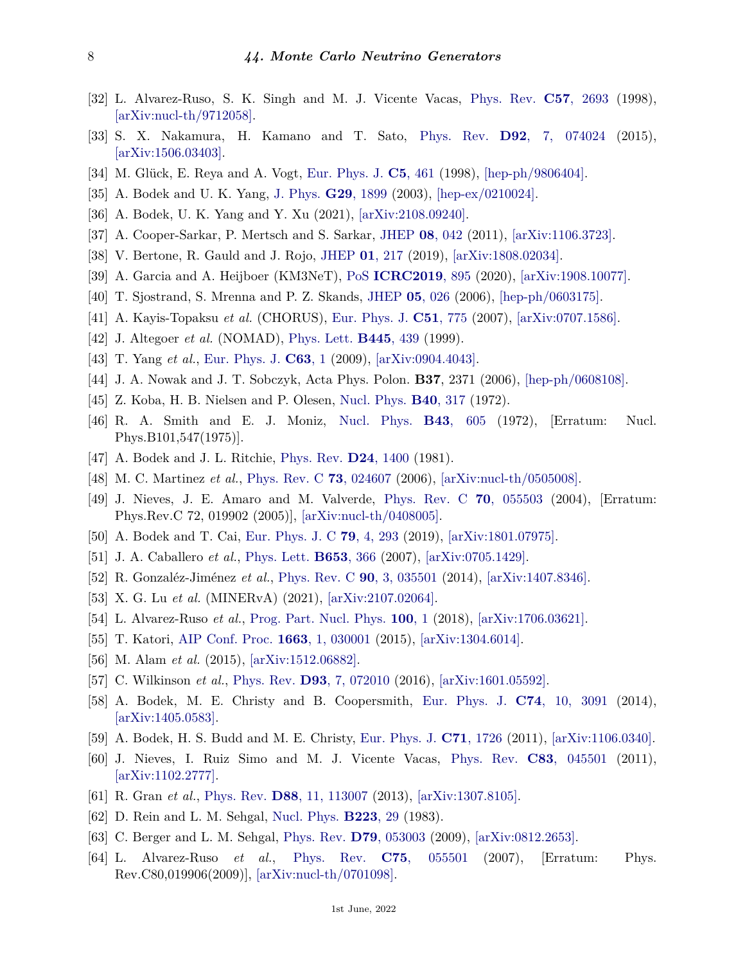- <span id="page-7-0"></span>[32] L. Alvarez-Ruso, S. K. Singh and M. J. Vicente Vacas, [Phys. Rev.](http://doi.org/10.1103/PhysRevC.57.2693) **C57**[, 2693](http://doi.org/10.1103/PhysRevC.57.2693) (1998), [\[arXiv:nucl-th/9712058\].](https://arxiv.org/abs/nucl-th/9712058)
- <span id="page-7-1"></span>[33] S. X. Nakamura, H. Kamano and T. Sato, [Phys. Rev.](http://doi.org/10.1103/PhysRevD.92.074024) **D92**[, 7, 074024](http://doi.org/10.1103/PhysRevD.92.074024) (2015), [\[arXiv:1506.03403\].](https://arxiv.org/abs/1506.03403)
- <span id="page-7-2"></span>[34] M. Glück, E. Reya and A. Vogt, [Eur. Phys. J.](http://doi.org/10.1007/s100529800978) **C5**[, 461](http://doi.org/10.1007/s100529800978) (1998), [\[hep-ph/9806404\].](https://arxiv.org/abs/hep-ph/9806404)
- <span id="page-7-3"></span>[35] A. Bodek and U. K. Yang, [J. Phys.](http://doi.org/10.1088/0954-3899/29/8/369) **G29**[, 1899](http://doi.org/10.1088/0954-3899/29/8/369) (2003), [\[hep-ex/0210024\].](https://arxiv.org/abs/hep-ex/0210024)
- <span id="page-7-4"></span>[36] A. Bodek, U. K. Yang and Y. Xu (2021), [\[arXiv:2108.09240\].](https://arxiv.org/abs/2108.09240)
- <span id="page-7-5"></span>[37] A. Cooper-Sarkar, P. Mertsch and S. Sarkar, [JHEP](http://doi.org/10.1007/JHEP08(2011)042) **08**[, 042](http://doi.org/10.1007/JHEP08(2011)042) (2011), [\[arXiv:1106.3723\].](https://arxiv.org/abs/1106.3723)
- <span id="page-7-6"></span>[38] V. Bertone, R. Gauld and J. Rojo, [JHEP](http://doi.org/10.1007/JHEP01(2019)217) **01**[, 217](http://doi.org/10.1007/JHEP01(2019)217) (2019), [\[arXiv:1808.02034\].](https://arxiv.org/abs/1808.02034)
- <span id="page-7-7"></span>[39] A. Garcia and A. Heijboer (KM3NeT), [PoS](http://doi.org/10.22323/1.358.0895) **[ICRC2019](http://doi.org/10.22323/1.358.0895)**, 895 (2020), [\[arXiv:1908.10077\].](https://arxiv.org/abs/1908.10077)
- <span id="page-7-8"></span>[40] T. Sjostrand, S. Mrenna and P. Z. Skands, [JHEP](http://doi.org/10.1088/1126-6708/2006/05/026) **05**[, 026](http://doi.org/10.1088/1126-6708/2006/05/026) (2006), [\[hep-ph/0603175\].](https://arxiv.org/abs/hep-ph/0603175)
- <span id="page-7-9"></span>[41] A. Kayis-Topaksu *et al.* (CHORUS), [Eur. Phys. J.](http://doi.org/10.1140/epjc/s10052-007-0366-8) **C51**[, 775](http://doi.org/10.1140/epjc/s10052-007-0366-8) (2007), [\[arXiv:0707.1586\].](https://arxiv.org/abs/0707.1586)
- <span id="page-7-10"></span>[42] J. Altegoer *et al.* (NOMAD), [Phys. Lett.](http://doi.org/10.1016/S0370-2693(98)01477-4) **[B445](http://doi.org/10.1016/S0370-2693(98)01477-4)**, 439 (1999).
- <span id="page-7-11"></span>[43] T. Yang *et al.*, [Eur. Phys. J.](http://doi.org/10.1140/epjc/s10052-009-1094-z) **[C63](http://doi.org/10.1140/epjc/s10052-009-1094-z)**, 1 (2009), [\[arXiv:0904.4043\].](https://arxiv.org/abs/0904.4043)
- <span id="page-7-12"></span>[44] J. A. Nowak and J. T. Sobczyk, Acta Phys. Polon. **B37**, 2371 (2006), [\[hep-ph/0608108\].](https://arxiv.org/abs/hep-ph/0608108)
- <span id="page-7-13"></span>[45] Z. Koba, H. B. Nielsen and P. Olesen, [Nucl. Phys.](http://doi.org/10.1016/0550-3213(72)90551-2) **B40**[, 317](http://doi.org/10.1016/0550-3213(72)90551-2) (1972).
- <span id="page-7-14"></span>[46] R. A. Smith and E. J. Moniz, [Nucl. Phys.](http://doi.org/10.1016/0550-3213(75)90612-4) **B43**[, 605](http://doi.org/10.1016/0550-3213(75)90612-4) (1972), [Erratum: Nucl. Phys.B101,547(1975)].
- <span id="page-7-15"></span>[47] A. Bodek and J. L. Ritchie, [Phys. Rev.](http://doi.org/10.1103/PhysRevD.24.1400) **D24**[, 1400](http://doi.org/10.1103/PhysRevD.24.1400) (1981).
- <span id="page-7-16"></span>[48] M. C. Martinez *et al.*, [Phys. Rev. C](http://doi.org/10.1103/PhysRevC.73.024607) **73**[, 024607](http://doi.org/10.1103/PhysRevC.73.024607) (2006), [\[arXiv:nucl-th/0505008\].](https://arxiv.org/abs/nucl-th/0505008)
- <span id="page-7-17"></span>[49] J. Nieves, J. E. Amaro and M. Valverde, [Phys. Rev. C](http://doi.org/10.1103/PhysRevC.70.055503) **70**[, 055503](http://doi.org/10.1103/PhysRevC.70.055503) (2004), [Erratum: Phys.Rev.C 72, 019902 (2005)], [\[arXiv:nucl-th/0408005\].](https://arxiv.org/abs/nucl-th/0408005)
- <span id="page-7-19"></span><span id="page-7-18"></span>[50] A. Bodek and T. Cai, [Eur. Phys. J. C](http://doi.org/10.1140/epjc/s10052-019-6750-3) **79**[, 4, 293](http://doi.org/10.1140/epjc/s10052-019-6750-3) (2019), [\[arXiv:1801.07975\].](https://arxiv.org/abs/1801.07975)
- [51] J. A. Caballero *et al.*, [Phys. Lett.](http://doi.org/10.1016/j.physletb.2007.08.018) **[B653](http://doi.org/10.1016/j.physletb.2007.08.018)**, 366 (2007), [\[arXiv:0705.1429\].](https://arxiv.org/abs/0705.1429)
- <span id="page-7-20"></span>[52] R. Gonzaléz-Jiménez *et al.*, [Phys. Rev. C](http://doi.org/10.1103/PhysRevC.90.035501) **90**[, 3, 035501](http://doi.org/10.1103/PhysRevC.90.035501) (2014), [\[arXiv:1407.8346\].](https://arxiv.org/abs/1407.8346)
- <span id="page-7-21"></span>[53] X. G. Lu *et al.* (MINERvA) (2021), [\[arXiv:2107.02064\].](https://arxiv.org/abs/2107.02064)
- <span id="page-7-23"></span><span id="page-7-22"></span>[54] L. Alvarez-Ruso *et al.*, [Prog. Part. Nucl. Phys.](http://doi.org/10.1016/j.ppnp.2018.01.006) **[100](http://doi.org/10.1016/j.ppnp.2018.01.006)**, 1 (2018), [\[arXiv:1706.03621\].](https://arxiv.org/abs/1706.03621)
- [55] T. Katori, [AIP Conf. Proc.](http://doi.org/10.1063/1.4919465) **1663**[, 1, 030001](http://doi.org/10.1063/1.4919465) (2015), [\[arXiv:1304.6014\].](https://arxiv.org/abs/1304.6014)
- [56] M. Alam *et al.* (2015), [\[arXiv:1512.06882\].](https://arxiv.org/abs/1512.06882)
- <span id="page-7-24"></span>[57] C. Wilkinson *et al.*, [Phys. Rev.](http://doi.org/10.1103/PhysRevD.93.072010) **D93**[, 7, 072010](http://doi.org/10.1103/PhysRevD.93.072010) (2016), [\[arXiv:1601.05592\].](https://arxiv.org/abs/1601.05592)
- <span id="page-7-25"></span>[58] A. Bodek, M. E. Christy and B. Coopersmith, [Eur. Phys. J.](http://doi.org/10.1140/epjc/s10052-014-3091-0) **C74**[, 10, 3091](http://doi.org/10.1140/epjc/s10052-014-3091-0) (2014), [\[arXiv:1405.0583\].](https://arxiv.org/abs/1405.0583)
- <span id="page-7-27"></span><span id="page-7-26"></span>[59] A. Bodek, H. S. Budd and M. E. Christy, [Eur. Phys. J.](http://doi.org/10.1140/epjc/s10052-011-1726-y) **C71**[, 1726](http://doi.org/10.1140/epjc/s10052-011-1726-y) (2011), [\[arXiv:1106.0340\].](https://arxiv.org/abs/1106.0340)
- [60] J. Nieves, I. Ruiz Simo and M. J. Vicente Vacas, [Phys. Rev.](http://doi.org/10.1103/PhysRevC.83.045501) **C83**[, 045501](http://doi.org/10.1103/PhysRevC.83.045501) (2011), [\[arXiv:1102.2777\].](https://arxiv.org/abs/1102.2777)
- <span id="page-7-28"></span>[61] R. Gran *et al.*, [Phys. Rev.](http://doi.org/10.1103/PhysRevD.88.113007) **D88**[, 11, 113007](http://doi.org/10.1103/PhysRevD.88.113007) (2013), [\[arXiv:1307.8105\].](https://arxiv.org/abs/1307.8105)
- <span id="page-7-29"></span>[62] D. Rein and L. M. Sehgal, [Nucl. Phys.](http://doi.org/10.1016/0550-3213(83)90090-1) **[B223](http://doi.org/10.1016/0550-3213(83)90090-1)**, 29 (1983).
- <span id="page-7-30"></span>[63] C. Berger and L. M. Sehgal, [Phys. Rev.](http://doi.org/10.1103/PhysRevD.79.053003) **D79**[, 053003](http://doi.org/10.1103/PhysRevD.79.053003) (2009), [\[arXiv:0812.2653\].](https://arxiv.org/abs/0812.2653)
- <span id="page-7-31"></span>[64] L. Alvarez-Ruso *et al.*, [Phys. Rev.](http://doi.org/10.1103/PhysRevC.75.055501) **C75**[, 055501](http://doi.org/10.1103/PhysRevC.75.055501) (2007), [Erratum: Phys. Rev.C80,019906(2009)], [\[arXiv:nucl-th/0701098\].](https://arxiv.org/abs/nucl-th/0701098)